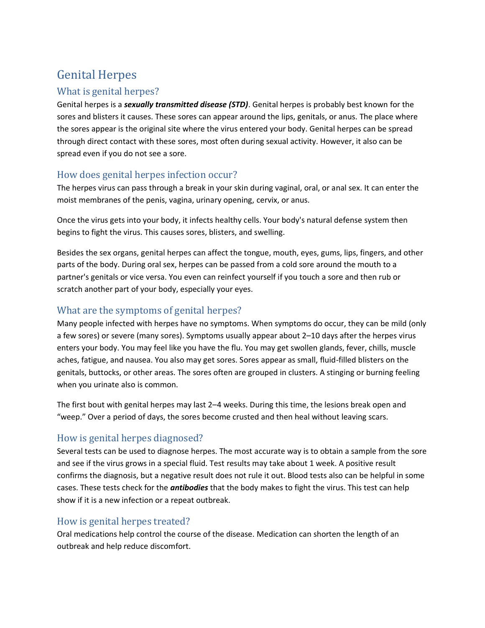# Genital Herpes

## What is genital herpes?

Genital herpes is a *sexually transmitted disease (STD)*. Genital herpes is probably best known for the sores and blisters it causes. These sores can appear around the lips, genitals, or anus. The place where the sores appear is the original site where the virus entered your body. Genital herpes can be spread through direct contact with these sores, most often during sexual activity. However, it also can be spread even if you do not see a sore.

## How does genital herpes infection occur?

The herpes virus can pass through a break in your skin during vaginal, oral, or anal sex. It can enter the moist membranes of the penis, vagina, urinary opening, cervix, or anus.

Once the virus gets into your body, it infects healthy cells. Your body's natural defense system then begins to fight the virus. This causes sores, blisters, and swelling.

Besides the sex organs, genital herpes can affect the tongue, mouth, eyes, gums, lips, fingers, and other parts of the body. During oral sex, herpes can be passed from a cold sore around the mouth to a partner's genitals or vice versa. You even can reinfect yourself if you touch a sore and then rub or scratch another part of your body, especially your eyes.

## What are the symptoms of genital herpes?

Many people infected with herpes have no symptoms. When symptoms do occur, they can be mild (only a few sores) or severe (many sores). Symptoms usually appear about 2–10 days after the herpes virus enters your body. You may feel like you have the flu. You may get swollen glands, fever, chills, muscle aches, fatigue, and nausea. You also may get sores. Sores appear as small, fluid-filled blisters on the genitals, buttocks, or other areas. The sores often are grouped in clusters. A stinging or burning feeling when you urinate also is common.

The first bout with genital herpes may last 2–4 weeks. During this time, the lesions break open and "weep." Over a period of days, the sores become crusted and then heal without leaving scars.

## How is genital herpes diagnosed?

Several tests can be used to diagnose herpes. The most accurate way is to obtain a sample from the sore and see if the virus grows in a special fluid. Test results may take about 1 week. A positive result confirms the diagnosis, but a negative result does not rule it out. Blood tests also can be helpful in some cases. These tests check for the *antibodies* that the body makes to fight the virus. This test can help show if it is a new infection or a repeat outbreak.

## How is genital herpes treated?

Oral medications help control the course of the disease. Medication can shorten the length of an outbreak and help reduce discomfort.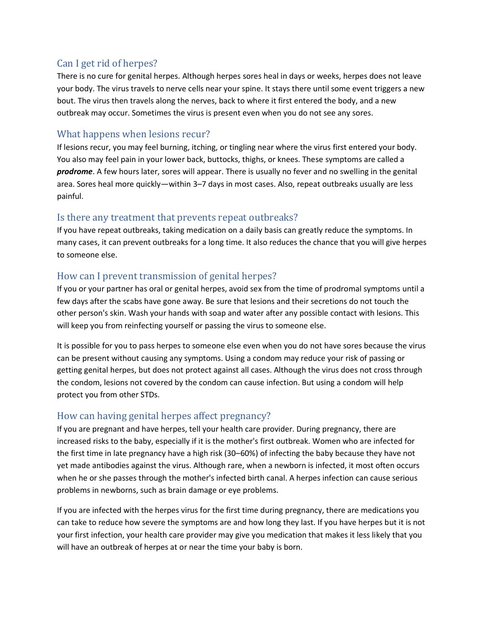## Can I get rid of herpes?

There is no cure for genital herpes. Although herpes sores heal in days or weeks, herpes does not leave your body. The virus travels to nerve cells near your spine. It stays there until some event triggers a new bout. The virus then travels along the nerves, back to where it first entered the body, and a new outbreak may occur. Sometimes the virus is present even when you do not see any sores.

## What happens when lesions recur?

If lesions recur, you may feel burning, itching, or tingling near where the virus first entered your body. You also may feel pain in your lower back, buttocks, thighs, or knees. These symptoms are called a *prodrome*. A few hours later, sores will appear. There is usually no fever and no swelling in the genital area. Sores heal more quickly—within 3–7 days in most cases. Also, repeat outbreaks usually are less painful.

## Is there any treatment that prevents repeat outbreaks?

If you have repeat outbreaks, taking medication on a daily basis can greatly reduce the symptoms. In many cases, it can prevent outbreaks for a long time. It also reduces the chance that you will give herpes to someone else.

## How can I prevent transmission of genital herpes?

If you or your partner has oral or genital herpes, avoid sex from the time of prodromal symptoms until a few days after the scabs have gone away. Be sure that lesions and their secretions do not touch the other person's skin. Wash your hands with soap and water after any possible contact with lesions. This will keep you from reinfecting yourself or passing the virus to someone else.

It is possible for you to pass herpes to someone else even when you do not have sores because the virus can be present without causing any symptoms. Using a condom may reduce your risk of passing or getting genital herpes, but does not protect against all cases. Although the virus does not cross through the condom, lesions not covered by the condom can cause infection. But using a condom will help protect you from other STDs.

## How can having genital herpes affect pregnancy?

If you are pregnant and have herpes, tell your health care provider. During pregnancy, there are increased risks to the baby, especially if it is the mother's first outbreak. Women who are infected for the first time in late pregnancy have a high risk (30–60%) of infecting the baby because they have not yet made antibodies against the virus. Although rare, when a newborn is infected, it most often occurs when he or she passes through the mother's infected birth canal. A herpes infection can cause serious problems in newborns, such as brain damage or eye problems.

If you are infected with the herpes virus for the first time during pregnancy, there are medications you can take to reduce how severe the symptoms are and how long they last. If you have herpes but it is not your first infection, your health care provider may give you medication that makes it less likely that you will have an outbreak of herpes at or near the time your baby is born.